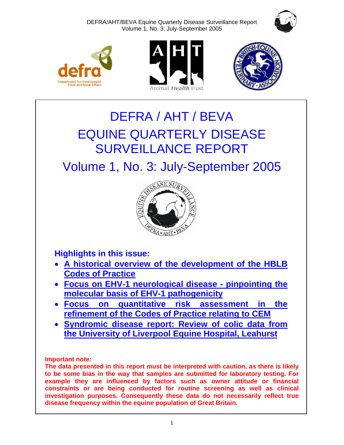DEFRA/AHT/BEVA Equine Quarterly Disease Surveillance Report Volume 1, No. 3: July-September 2005









# DEFRA / AHT / BEVA EQUINE QUARTERLY DISEASE SURVEILLANCE REPORT

## Volume 1, No. 3: July-September 2005



**Highlights in this issue:** 

- **[A historical overview of the development of the HBLB](#page-4-0)  Codes of Practice**
- **[Focus on EHV-1 neurological disease pinpointing the](#page-6-0)  molecular basis of EHV-1 pathogenicity**
- **[Focus on quantitative risk assessment in the](#page-8-0)  refinement of the Codes of Practice relating to CEM**
- **Syndromic disease report: Review of colic data from [the University of Liverpool Equine Hospital, Leahurst](#page-11-0)**

**Important note:** 

**The data presented in this report must be interpreted with caution, as there is likely to be some bias in the way that samples are submitted for laboratory testing. For example they are influenced by factors such as owner attitude or financial constraints or are being conducted for routine screening as well as clinical investigation purposes. Consequently these data do not necessarily reflect true disease frequency within the equine population of Great Britain.**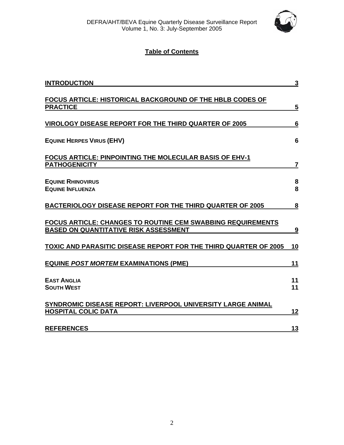

## **Table of Contents**

| <b>INTRODUCTION</b>                                                                                                | $\mathbf{3}$   |
|--------------------------------------------------------------------------------------------------------------------|----------------|
| <b>FOCUS ARTICLE: HISTORICAL BACKGROUND OF THE HBLB CODES OF</b><br><b>PRACTICE</b>                                | $\overline{5}$ |
| <b>VIROLOGY DISEASE REPORT FOR THE THIRD QUARTER OF 2005</b>                                                       | 6              |
| <b>EQUINE HERPES VIRUS (EHV)</b>                                                                                   | 6              |
| <b>FOCUS ARTICLE: PINPOINTING THE MOLECULAR BASIS OF EHV-1</b><br><b>PATHOGENICITY</b>                             | 7              |
| <b>EQUINE RHINOVIRUS</b><br><b>EQUINE INFLUENZA</b>                                                                | 8<br>8         |
| <b>BACTERIOLOGY DISEASE REPORT FOR THE THIRD QUARTER OF 2005</b>                                                   | 8              |
| <b>FOCUS ARTICLE: CHANGES TO ROUTINE CEM SWABBING REQUIREMENTS</b><br><b>BASED ON QUANTITATIVE RISK ASSESSMENT</b> | <u>9</u>       |
| TOXIC AND PARASITIC DISEASE REPORT FOR THE THIRD QUARTER OF 2005                                                   | <u>10</u>      |
| <b>EQUINE POST MORTEM EXAMINATIONS (PME)</b>                                                                       | 11             |
| <b>EAST ANGLIA</b><br><b>SOUTH WEST</b>                                                                            | 11<br>11       |
| SYNDROMIC DISEASE REPORT: LIVERPOOL UNIVERSITY LARGE ANIMAL<br><b>HOSPITAL COLIC DATA</b>                          | 12             |
| <b>REFERENCES</b>                                                                                                  | 13             |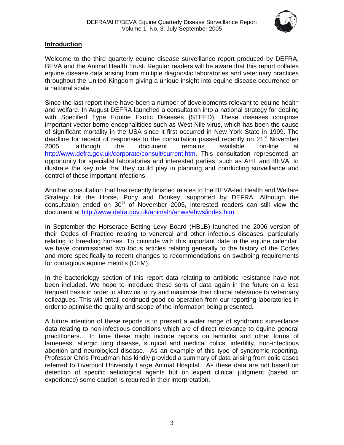

## <span id="page-2-0"></span>**Introduction**

Welcome to the third quarterly equine disease surveillance report produced by DEFRA, BEVA and the Animal Health Trust. Regular readers will be aware that this report collates equine disease data arising from multiple diagnostic laboratories and veterinary practices throughout the United Kingdom giving a unique insight into equine disease occurrence on a national scale.

Since the last report there have been a number of developments relevant to equine health and welfare. In August DEFRA launched a consultation into a national strategy for dealing with Specified Type Equine Exotic Diseases (STEED). These diseases comprise important vector borne encephalitides such as West Nile virus, which has been the cause of significant mortality in the USA since it first occurred in New York State in 1999. The deadline for receipt of responses to the consultation passed recently on 21<sup>st</sup> November 2005, although the document remains available on-line at http://www.defra.gov.uk/corporate/consult/current.htm. This consultation represented an opportunity for specialist laboratories and interested parties, such as AHT and BEVA, to illustrate the key role that they could play in planning and conducting surveillance and control of these important infections.

Another consultation that has recently finished relates to the BEVA-led Health and Welfare Strategy for the Horse, Pony and Donkey, supported by DEFRA. Although the consultation ended on  $30<sup>th</sup>$  of November 2005, interested readers can still view the document at http://www.defra.gov.uk/animalh/ahws/ehws/index.htm.

In September the Horserace Betting Levy Board (HBLB) launched the 2006 version of their Codes of Practice relating to venereal and other infectious diseases, particularly relating to breeding horses. To coincide with this important date in the equine calendar, we have commissioned two focus articles relating generally to the history of the Codes and more specifically to recent changes to recommendations on swabbing requirements for contagious equine metritis (CEM).

In the bacteriology section of this report data relating to antibiotic resistance have not been included. We hope to introduce these sorts of data again in the future on a less frequent basis in order to allow us to try and maximise their clinical relevance to veterinary colleagues. This will entail continued good co-operation from our reporting laboratories in order to optimise the quality and scope of the information being presented.

A future intention of these reports is to present a wider range of syndromic surveillance data relating to non-infectious conditions which are of direct relevance to equine general practitioners. In time these might include reports on laminitis and other forms of lameness, allergic lung disease, surgical and medical colics, infertility, non-infectious abortion and neurological disease. As an example of this type of syndromic reporting, Professor Chris Proudman has kindly provided a summary of data arising from colic cases referred to Liverpool University Large Animal Hospital. As these data are not based on detection of specific aetiological agents but on expert clinical judgment (based on experience) some caution is required in their interpretation.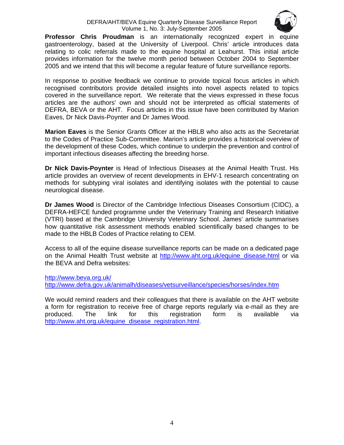#### DEFRA/AHT/BEVA Equine Quarterly Disease Surveillance Report Volume 1, No. 3: July-September 2005



**Professor Chris Proudman** is an internationally recognized expert in equine gastroenterology, based at the University of Liverpool. Chris' article introduces data relating to colic referrals made to the equine hospital at Leahurst. This initial article provides information for the twelve month period between October 2004 to September 2005 and we intend that this will become a regular feature of future surveillance reports.

In response to positive feedback we continue to provide topical focus articles in which recognised contributors provide detailed insights into novel aspects related to topics covered in the surveillance report. We reiterate that the views expressed in these focus articles are the authors' own and should not be interpreted as official statements of DEFRA, BEVA or the AHT. Focus articles in this issue have been contributed by Marion Eaves, Dr Nick Davis-Poynter and Dr James Wood.

**Marion Eaves** is the Senior Grants Officer at the HBLB who also acts as the Secretariat to the Codes of Practice Sub-Committee. Marion's article provides a historical overview of the development of these Codes, which continue to underpin the prevention and control of important infectious diseases affecting the breeding horse.

**Dr Nick Davis-Poynter** is Head of Infectious Diseases at the Animal Health Trust. His article provides an overview of recent developments in EHV-1 research concentrating on methods for subtyping viral isolates and identifying isolates with the potential to cause neurological disease.

**Dr James Wood** is Director of the Cambridge Infectious Diseases Consortium (CIDC), a DEFRA-HEFCE funded programme under the Veterinary Training and Research Initiative (VTRI) based at the Cambridge University Veterinary School. James' article summarises how quantitative risk assessment methods enabled scientifically based changes to be made to the HBLB Codes of Practice relating to CEM.

Access to all of the equine disease surveillance reports can be made on a dedicated page on the Animal Health Trust website at http://www.aht.org.uk/equine\_disease.html or via the BEVA and Defra websites:

http://www.beva.org.uk/ http://www.defra.gov.uk/animalh/diseases/vetsurveillance/species/horses/index.htm

We would remind readers and their colleagues that there is available on the AHT website a form for registration to receive free of charge reports regularly via e-mail as they are produced. The link for this registration form is available via http://www.aht.org.uk/equine\_disease\_registration.html.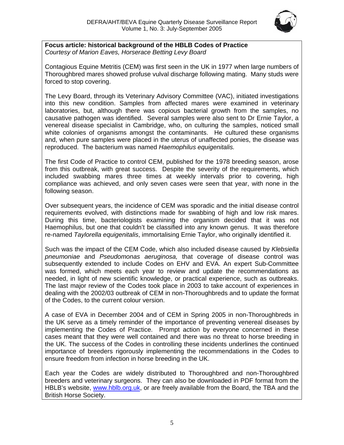

<span id="page-4-0"></span>**Focus article: historical background of the HBLB Codes of Practice**  *Courtesy of Marion Eaves, Horserace Betting Levy Board*

Contagious Equine Metritis (CEM) was first seen in the UK in 1977 when large numbers of Thoroughbred mares showed profuse vulval discharge following mating. Many studs were forced to stop covering.

The Levy Board, through its Veterinary Advisory Committee (VAC), initiated investigations into this new condition. Samples from affected mares were examined in veterinary laboratories, but, although there was copious bacterial growth from the samples, no causative pathogen was identified. Several samples were also sent to Dr Ernie Taylor, a venereal disease specialist in Cambridge, who, on culturing the samples, noticed small white colonies of organisms amongst the contaminants. He cultured these organisms and, when pure samples were placed in the uterus of unaffected ponies, the disease was reproduced. The bacterium was named *Haemophilus equigenitalis.*

The first Code of Practice to control CEM, published for the 1978 breeding season, arose from this outbreak, with great success. Despite the severity of the requirements, which included swabbing mares three times at weekly intervals prior to covering, high compliance was achieved, and only seven cases were seen that year, with none in the following season.

Over subsequent years, the incidence of CEM was sporadic and the initial disease control requirements evolved, with distinctions made for swabbing of high and low risk mares. During this time, bacteriologists examining the organism decided that it was not Haemophilus, but one that couldn't be classified into any known genus. It was therefore re-named *Taylorella equigenitalis*, immortalising Ernie Taylor, who originally identified it.

Such was the impact of the CEM Code, which also included disease caused by *Klebsiella pneumoniae* and *Pseudomonas aeruginosa,* that coverage of disease control was subsequently extended to include Codes on EHV and EVA. An expert Sub-Committee was formed, which meets each year to review and update the recommendations as needed, in light of new scientific knowledge, or practical experience, such as outbreaks. The last major review of the Codes took place in 2003 to take account of experiences in dealing with the 2002/03 outbreak of CEM in non-Thoroughbreds and to update the format of the Codes, to the current colour version.

A case of EVA in December 2004 and of CEM in Spring 2005 in non-Thoroughbreds in the UK serve as a timely reminder of the importance of preventing venereal diseases by implementing the Codes of Practice. Prompt action by everyone concerned in these cases meant that they were well contained and there was no threat to horse breeding in the UK. The success of the Codes in controlling these incidents underlines the continued importance of breeders rigorously implementing the recommendations in the Codes to ensure freedom from infection in horse breeding in the UK.

Each year the Codes are widely distributed to Thoroughbred and non-Thoroughbred breeders and veterinary surgeons. They can also be downloaded in PDF format from the HBLB's website, www.hblb.org.uk, or are freely available from the Board, the TBA and the British Horse Society.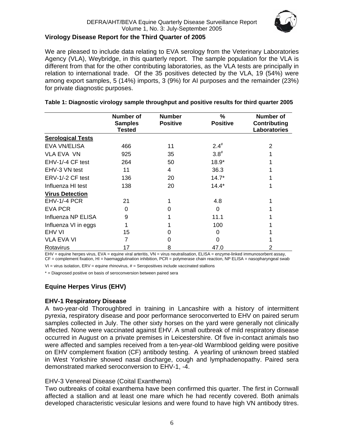

## <span id="page-5-0"></span>**Virology Disease Report for the Third Quarter of 2005**

We are pleased to include data relating to EVA serology from the Veterinary Laboratories Agency (VLA), Weybridge, in this quarterly report. The sample population for the VLA is different from that for the other contributing laboratories, as the VLA tests are principally in relation to international trade. Of the 35 positives detected by the VLA, 19 (54%) were among export samples, 5 (14%) imports, 3 (9%) for AI purposes and the remainder (23%) for private diagnostic purposes.

|                          | Number of<br><b>Samples</b><br>Tested | <b>Number</b><br><b>Positive</b> | %<br><b>Positive</b> | Number of<br><b>Contributing</b><br>Laboratories |
|--------------------------|---------------------------------------|----------------------------------|----------------------|--------------------------------------------------|
| <b>Serological Tests</b> |                                       |                                  |                      |                                                  |
| <b>EVA VN/ELISA</b>      | 466                                   | 11                               | $2.4^{#}$            | 2                                                |
| <b>VLA EVA VN</b>        | 925                                   | 35                               | $3.8^{#}$            |                                                  |
| EHV-1/-4 CF test         | 264                                   | 50                               | $18.9*$              |                                                  |
| EHV-3 VN test            | 11                                    | 4                                | 36.3                 |                                                  |
| ERV-1/-2 CF test         | 136                                   | 20                               | $14.7*$              |                                                  |
| Influenza HI test        | 138                                   | 20                               | $14.4*$              |                                                  |
| <b>Virus Detection</b>   |                                       |                                  |                      |                                                  |
| EHV-1/-4 PCR             | 21                                    |                                  | 4.8                  |                                                  |
| <b>EVA PCR</b>           | 0                                     | O                                | $\Omega$             |                                                  |
| Influenza NP ELISA       | 9                                     |                                  | 11.1                 |                                                  |
| Influenza VI in eggs     |                                       |                                  | 100                  |                                                  |
| EHV VI                   | 15                                    |                                  | 0                    |                                                  |
| VLA EVA VI               | 7                                     | 0                                | $\Omega$             |                                                  |
| Rotavirus                | 17                                    | 8                                | 47.0                 | 2                                                |

#### **Table 1: Diagnostic virology sample throughput and positive results for third quarter 2005**

EHV = equine herpes virus, EVA = equine viral arteritis, VN = virus neutralisation, ELISA = enzyme-linked immunosorbent assay, CF = complement fixation, HI = haemagglutination inhibition, PCR = polymerase chain reaction, NP ELISA = nasopharyngeal swab

 $VI = virus$  isolation,  $ERV =$  equine rhinovirus,  $# =$  Seropositives include vaccinated stallions

\* = Diagnosed positive on basis of seroconversion between paired sera

## **Equine Herpes Virus (EHV)**

## **EHV-1 Respiratory Disease**

A two-year-old Thoroughbred in training in Lancashire with a history of intermittent pyrexia, respiratory disease and poor performance seroconverted to EHV on paired serum samples collected in July. The other sixty horses on the yard were generally not clinically affected. None were vaccinated against EHV. A small outbreak of mild respiratory disease occurred in August on a private premises in Leicestershire. Of five in-contact animals two were affected and samples received from a ten-year-old Warmblood gelding were positive on EHV complement fixation (CF) antibody testing. A yearling of unknown breed stabled in West Yorkshire showed nasal discharge, cough and lymphadenopathy. Paired sera demonstrated marked seroconversion to EHV-1, -4.

## EHV-3 Venereal Disease (Coital Exanthema)

Two outbreaks of coital exanthema have been confirmed this quarter. The first in Cornwall affected a stallion and at least one mare which he had recently covered. Both animals developed characteristic vesicular lesions and were found to have high VN antibody titres.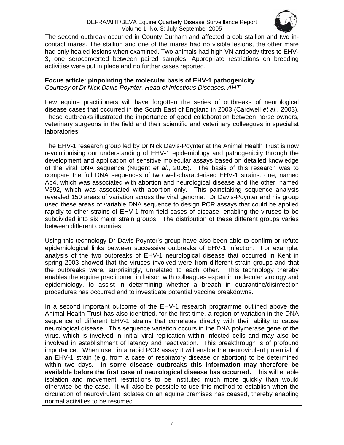

<span id="page-6-0"></span>The second outbreak occurred in County Durham and affected a cob stallion and two incontact mares. The stallion and one of the mares had no visible lesions, the other mare had only healed lesions when examined. Two animals had high VN antibody titres to EHV-3, one seroconverted between paired samples. Appropriate restrictions on breeding activities were put in place and no further cases reported.

### **Focus article: pinpointing the molecular basis of EHV-1 pathogenicity**  *Courtesy of Dr Nick Davis-Poynter, Head of Infectious Diseases, AHT*

Few equine practitioners will have forgotten the series of outbreaks of neurological disease cases that occurred in the South East of England in 2003 (Cardwell *et al*., 2003). These outbreaks illustrated the importance of good collaboration between horse owners, veterinary surgeons in the field and their scientific and veterinary colleagues in specialist laboratories.

The EHV-1 research group led by Dr Nick Davis-Poynter at the Animal Health Trust is now revolutionising our understanding of EHV-1 epidemiology and pathogenicity through the development and application of sensitive molecular assays based on detailed knowledge of the viral DNA sequence (Nugent *et al*., 2005). The basis of this research was to compare the full DNA sequences of two well-characterised EHV-1 strains: one, named Ab4, which was associated with abortion and neurological disease and the other, named V592, which was associated with abortion only. This painstaking sequence analysis revealed 150 areas of variation across the viral genome. Dr Davis-Poynter and his group used these areas of variable DNA sequence to design PCR assays that could be applied rapidly to other strains of EHV-1 from field cases of disease, enabling the viruses to be subdivided into six major strain groups. The distribution of these different groups varies between different countries.

Using this technology Dr Davis-Poynter's group have also been able to confirm or refute epidemiological links between successive outbreaks of EHV-1 infection. For example, analysis of the two outbreaks of EHV-1 neurological disease that occurred in Kent in spring 2003 showed that the viruses involved were from different strain groups and that the outbreaks were, surprisingly, unrelated to each other. This technology thereby enables the equine practitioner, in liaison with colleagues expert in molecular virology and epidemiology, to assist in determining whether a breach in quarantine/disinfection procedures has occurred and to investigate potential vaccine breakdowns.

In a second important outcome of the EHV-1 research programme outlined above the Animal Health Trust has also identified, for the first time, a region of variation in the DNA sequence of different EHV-1 strains that correlates directly with their ability to cause neurological disease. This sequence variation occurs in the DNA polymerase gene of the virus, which is involved in initial viral replication within infected cells and may also be involved in establishment of latency and reactivation. This breakthrough is of profound importance. When used in a rapid PCR assay it will enable the neurovirulent potential of an EHV-1 strain (e.g. from a case of respiratory disease or abortion) to be determined within two days. **In some disease outbreaks this information may therefore be available before the first case of neurological disease has occurred.** This will enable isolation and movement restrictions to be instituted much more quickly than would otherwise be the case. It will also be possible to use this method to establish when the circulation of neurovirulent isolates on an equine premises has ceased, thereby enabling normal activities to be resumed.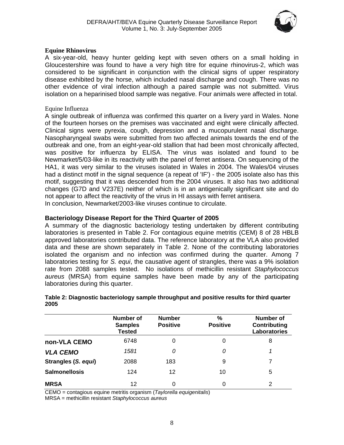

#### <span id="page-7-0"></span>**Equine Rhinovirus**

A six-year-old, heavy hunter gelding kept with seven others on a small holding in Gloucestershire was found to have a very high titre for equine rhinovirus-2, which was considered to be significant in conjunction with the clinical signs of upper respiratory disease exhibited by the horse, which included nasal discharge and cough. There was no other evidence of viral infection although a paired sample was not submitted. Virus isolation on a heparinised blood sample was negative. Four animals were affected in total.

### Equine Influenza

A single outbreak of influenza was confirmed this quarter on a livery yard in Wales. None of the fourteen horses on the premises was vaccinated and eight were clinically affected. Clinical signs were pyrexia, cough, depression and a mucopurulent nasal discharge. Nasopharyngeal swabs were submitted from two affected animals towards the end of the outbreak and one, from an eight-year-old stallion that had been most chronically affected, was positive for influenza by ELISA. The virus was isolated and found to be Newmarket/5/03-like in its reactivity with the panel of ferret antisera. On sequencing of the HA1, it was very similar to the viruses isolated in Wales in 2004. The Wales/04 viruses had a distinct motif in the signal sequence (a repeat of 'IF') - the 2005 isolate also has this motif, suggesting that it was descended from the 2004 viruses. It also has two additional changes (G7D and V237E) neither of which is in an antigenically significant site and do not appear to affect the reactivity of the virus in HI assays with ferret antisera. In conclusion, Newmarket/2003-like viruses continue to circulate.

## **Bacteriology Disease Report for the Third Quarter of 2005**

A summary of the diagnostic bacteriology testing undertaken by different contributing laboratories is presented in Table 2. For contagious equine metritis (CEM) 8 of 28 HBLB approved laboratories contributed data. The reference laboratory at the VLA also provided data and these are shown separately in Table 2. None of the contributing laboratories isolated the organism and no infection was confirmed during the quarter. Among 7 laboratories testing for *S. equi*, the causative agent of strangles, there was a 9% isolation rate from 2088 samples tested. No isolations of methicillin resistant *Staphylococcus aureus* (MRSA) from equine samples have been made by any of the participating laboratories during this quarter.

|                      | Number of<br><b>Samples</b><br>Tested | <b>Number</b><br><b>Positive</b> | $\frac{9}{6}$<br><b>Positive</b> | Number of<br>Contributing<br><b>Laboratories</b> |
|----------------------|---------------------------------------|----------------------------------|----------------------------------|--------------------------------------------------|
| non-VLA CEMO         | 6748                                  | 0                                |                                  | 8                                                |
| <b>VLA CEMO</b>      | 1581                                  | Ω                                | 0                                |                                                  |
| Strangles (S. equi)  | 2088                                  | 183                              | 9                                | 7                                                |
| <b>Salmonellosis</b> | 124                                   | 12                               | 10                               | 5                                                |
| <b>MRSA</b>          | 12                                    | 0                                | 0                                | 2                                                |

#### **Table 2: Diagnostic bacteriology sample throughput and positive results for third quarter 2005**

CEMO = contagious equine metritis organism (*Taylorella equigenitalis*)

MRSA = methicillin resistant *Staphylococcus aureus*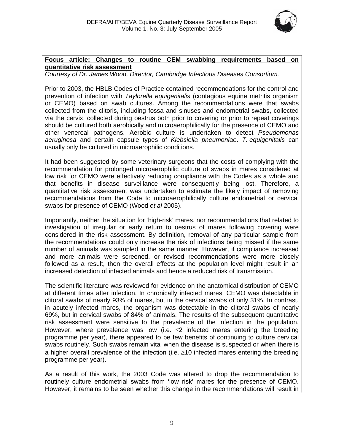

## <span id="page-8-0"></span>**Focus article: Changes to routine CEM swabbing requirements based on quantitative risk assessment**

*Courtesy of Dr. James Wood, Director, Cambridge Infectious Diseases Consortium.* 

Prior to 2003, the HBLB Codes of Practice contained recommendations for the control and prevention of infection with *Taylorella equigenitalis* (contagious equine metritis organism or CEMO) based on swab cultures. Among the recommendations were that swabs collected from the clitoris, including fossa and sinuses and endometrial swabs, collected via the cervix, collected during oestrus both prior to covering or prior to repeat coverings should be cultured both aerobically and microaerophilically for the presence of CEMO and other venereal pathogens. Aerobic culture is undertaken to detect *Pseudomonas aeruginosa* and certain capsule types of *Klebsiella pneumoniae*. *T. equigenitalis* can usually only be cultured in microaerophilic conditions.

It had been suggested by some veterinary surgeons that the costs of complying with the recommendation for prolonged microaerophilic culture of swabs in mares considered at low risk for CEMO were effectively reducing compliance with the Codes as a whole and that benefits in disease surveillance were consequently being lost. Therefore, a quantitative risk assessment was undertaken to estimate the likely impact of removing recommendations from the Code to microaerophilically culture endometrial or cervical swabs for presence of CEMO (Wood *et al* 2005).

Importantly, neither the situation for 'high-risk' mares, nor recommendations that related to investigation of irregular or early return to oestrus of mares following covering were considered in the risk assessment. By definition, removal of any particular sample from the recommendations could only increase the risk of infections being missed if the same number of animals was sampled in the same manner. However, if compliance increased and more animals were screened, or revised recommendations were more closely followed as a result, then the overall effects at the population level might result in an increased detection of infected animals and hence a reduced risk of transmission.

The scientific literature was reviewed for evidence on the anatomical distribution of CEMO at different times after infection. In chronically infected mares, CEMO was detectable in clitoral swabs of nearly 93% of mares, but in the cervical swabs of only 31%. In contrast, in acutely infected mares, the organism was detectable in the clitoral swabs of nearly 69%, but in cervical swabs of 84% of animals. The results of the subsequent quantitative risk assessment were sensitive to the prevalence of the infection in the population. However, where prevalence was low (i.e.  $\leq$  infected mares entering the breeding programme per year), there appeared to be few benefits of continuing to culture cervical swabs routinely. Such swabs remain vital when the disease is suspected or when there is a higher overall prevalence of the infection (i.e. ≥10 infected mares entering the breeding programme per year).

As a result of this work, the 2003 Code was altered to drop the recommendation to routinely culture endometrial swabs from 'low risk' mares for the presence of CEMO. However, it remains to be seen whether this change in the recommendations will result in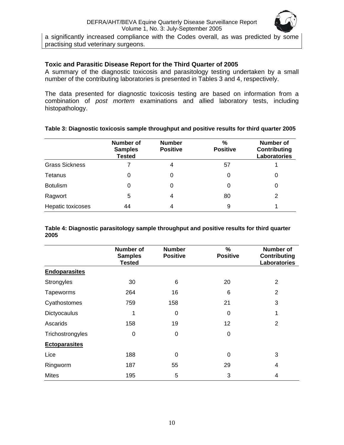

<span id="page-9-0"></span>a significantly increased compliance with the Codes overall, as was predicted by some practising stud veterinary surgeons.

## **Toxic and Parasitic Disease Report for the Third Quarter of 2005**

A summary of the diagnostic toxicosis and parasitology testing undertaken by a small number of the contributing laboratories is presented in Tables 3 and 4, respectively.

The data presented for diagnostic toxicosis testing are based on information from a combination of *post mortem* examinations and allied laboratory tests, including histopathology.

|                       | <b>Number of</b><br><b>Samples</b><br><b>Tested</b> | <b>Number</b><br><b>Positive</b> | %<br><b>Positive</b> | Number of<br>Contributing<br>Laboratories |
|-----------------------|-----------------------------------------------------|----------------------------------|----------------------|-------------------------------------------|
| <b>Grass Sickness</b> |                                                     | 4                                | 57                   |                                           |
| Tetanus               | 0                                                   | 0                                | 0                    | 0                                         |
| <b>Botulism</b>       | 0                                                   | 0                                | 0                    | 0                                         |
| Ragwort               | 5                                                   | 4                                | 80                   | 2                                         |
| Hepatic toxicoses     | 44                                                  | 4                                | 9                    |                                           |

## **Table 3: Diagnostic toxicosis sample throughput and positive results for third quarter 2005**

**Table 4: Diagnostic parasitology sample throughput and positive results for third quarter 2005** 

|                      | Number of<br><b>Samples</b><br><b>Tested</b> | <b>Number</b><br><b>Positive</b> | %<br><b>Positive</b> | <b>Number of</b><br><b>Contributing</b><br><b>Laboratories</b> |
|----------------------|----------------------------------------------|----------------------------------|----------------------|----------------------------------------------------------------|
| <b>Endoparasites</b> |                                              |                                  |                      |                                                                |
| Strongyles           | 30                                           | 6                                | 20                   | $\overline{2}$                                                 |
| Tapeworms            | 264                                          | 16                               | 6                    | $\overline{2}$                                                 |
| Cyathostomes         | 759                                          | 158                              | 21                   | 3                                                              |
| Dictyocaulus         | 1                                            | $\Omega$                         | 0                    | 1                                                              |
| Ascarids             | 158                                          | 19                               | 12                   | 2                                                              |
| Trichostrongyles     | 0                                            | $\Omega$                         | 0                    |                                                                |
| <b>Ectoparasites</b> |                                              |                                  |                      |                                                                |
| Lice                 | 188                                          | $\Omega$                         | 0                    | 3                                                              |
| Ringworm             | 187                                          | 55                               | 29                   | $\overline{4}$                                                 |
| <b>Mites</b>         | 195                                          | 5                                | 3                    | 4                                                              |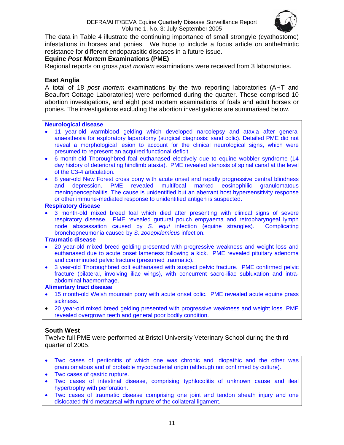

<span id="page-10-0"></span>The data in Table 4 illustrate the continuing importance of small strongyle (cyathostome) infestations in horses and ponies. We hope to include a focus article on anthelmintic resistance for different endoparasitic diseases in a future issue.

## **Equine** *Post Mortem* **Examinations (PME)**

Regional reports on gross *post mortem* examinations were received from 3 laboratories.

## **East Anglia**

A total of 18 *post mortem* examinations by the two reporting laboratories (AHT and Beaufort Cottage Laboratories) were performed during the quarter. These comprised 10 abortion investigations, and eight post mortem examinations of foals and adult horses or ponies. The investigations excluding the abortion investigations are summarised below.

#### **Neurological disease**

- 11 year-old warmblood gelding which developed narcolepsy and ataxia after general anaesthesia for exploratory laparotomy (surgical diagnosis: sand colic). Detailed PME did not reveal a morphological lesion to account for the clinical neurological signs, which were presumed to represent an acquired functional deficit.
- 6 month-old Thoroughbred foal euthanased electively due to equine wobbler syndrome (14 day history of deteriorating hindlimb ataxia). PME revealed stenosis of spinal canal at the level of the C3-4 articulation.
- 8 year-old New Forest cross pony with acute onset and rapidly progressive central blindness and depression. PME revealed multifocal marked eosinophilic granulomatous meningoencephalitis. The cause is unidentified but an aberrant host hypersensitivity response or other immune-mediated response to unidentified antigen is suspected.

### **Respiratory disease**

3 month-old mixed breed foal which died after presenting with clinical signs of severe respiratory disease. PME revealed guttural pouch empyaema and retropharyngeal lymph node abscessation caused by *S. equi* infection (equine strangles). Complicating bronchopneumonia caused by *S. zooepidemicus* infection.

#### **Traumatic disease**

- 20 year-old mixed breed gelding presented with progressive weakness and weight loss and euthanased due to acute onset lameness following a kick. PME revealed pituitary adenoma and comminuted pelvic fracture (presumed traumatic).
- 3 year-old Thoroughbred colt euthanased with suspect pelvic fracture. PME confirmed pelvic fracture (bilateral, involving iliac wings), with concurrent sacro-iliac subluxation and intraabdominal haemorrhage.

#### **Alimentary tract disease**

- 15 month-old Welsh mountain pony with acute onset colic. PME revealed acute equine grass sickness.
- 20 year-old mixed breed gelding presented with progressive weakness and weight loss. PME revealed overgrown teeth and general poor bodily condition.

## **South West**

Twelve full PME were performed at Bristol University Veterinary School during the third quarter of 2005.

- Two cases of peritonitis of which one was chronic and idiopathic and the other was granulomatous and of probable mycobacterial origin (although not confirmed by culture).
- Two cases of gastric rupture.
- Two cases of intestinal disease, comprising typhlocolitis of unknown cause and ileal hypertrophy with perforation.
- Two cases of traumatic disease comprising one joint and tendon sheath injury and one dislocated third metatarsal with rupture of the collateral ligament.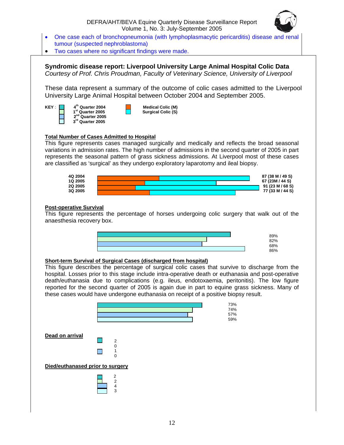

- <span id="page-11-0"></span>• One case each of bronchopneumonia (with lymphoplasmacytic pericarditis) disease and renal tumour (suspected nephroblastoma)
- Two cases where no significant findings were made.

**Syndromic disease report: Liverpool University Large Animal Hospital Colic Data**  *Courtesy of Prof. Chris Proudman, Faculty of Veterinary Science, University of Liverpool* 

These data represent a summary of the outcome of colic cases admitted to the Liverpool University Large Animal Hospital between October 2004 and September 2005.

**2<sup>nd</sup> Quarter 2005**<br>3<sup>rd</sup> Quarter 2005 **<sup>3</sup>rd Quarter 2005**

**KEY** : **4th Quarter 2004 Medical Colic (M) 1st Quarter 2005 Surgical Colic (S)** 

#### **Total Number of Cases Admitted to Hospital**

This figure represents cases managed surgically and medically and reflects the broad seasonal variations in admission rates. The high number of admissions in the second quarter of 2005 in part represents the seasonal pattern of grass sickness admissions. At Liverpool most of these cases are classified as 'surgical' as they undergo exploratory laparotomy and ileal biopsy.



#### **Post-operative Survival**

This figure represents the percentage of horses undergoing colic surgery that walk out of the anaesthesia recovery box.



#### **Short-term Survival of Surgical Cases (discharged from hospital)**

This figure describes the percentage of surgical colic cases that survive to discharge from the hospital. Losses prior to this stage include intra-operative death or euthanasia and post-operative death/euthanasia due to complications (e.g. ileus, endotoxaemia, peritonitis). The low figure reported for the second quarter of 2005 is again due in part to equine grass sickness. Many of these cases would have undergone euthanasia on receipt of a positive biopsy result.

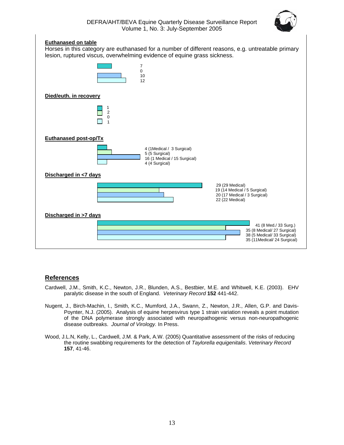

#### **Euthanased on table**

<span id="page-12-0"></span>

#### **References**

- Cardwell, J.M., Smith, K.C., Newton, J.R., Blunden, A.S., Bestbier, M.E. and Whitwell, K.E. (2003). EHV paralytic disease in the south of England. *Veterinary Record* **152** 441-442.
- Nugent, J., Birch-Machin, I., Smith, K.C., Mumford, J.A., Swann, Z., Newton, J.R., Allen, G.P. and Davis-Poynter, N.J. (2005). Analysis of equine herpesvirus type 1 strain variation reveals a point mutation of the DNA polymerase strongly associated with neuropathogenic versus non-neuropathogenic disease outbreaks. *Journal of Virology.* In Press.
- Wood, J.L.N, Kelly, L., Cardwell, J.M. & Park, A.W. (2005) Quantitative assessment of the risks of reducing the routine swabbing requirements for the detection of *Taylorella equigenitalis*. *Veterinary Record* **157**, 41-46.